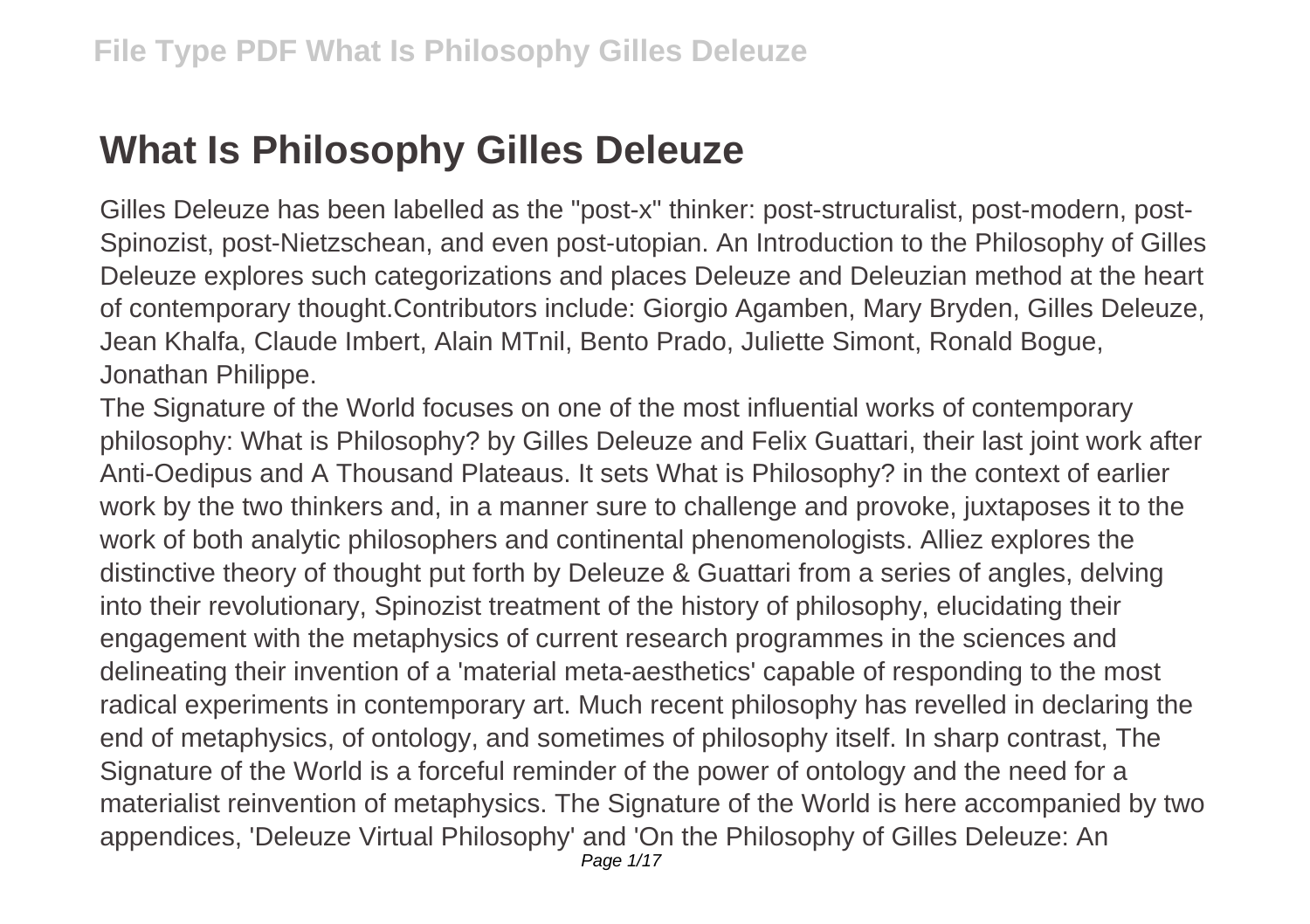## **What Is Philosophy Gilles Deleuze**

Gilles Deleuze has been labelled as the "post-x" thinker: post-structuralist, post-modern, post-Spinozist, post-Nietzschean, and even post-utopian. An Introduction to the Philosophy of Gilles Deleuze explores such categorizations and places Deleuze and Deleuzian method at the heart of contemporary thought.Contributors include: Giorgio Agamben, Mary Bryden, Gilles Deleuze, Jean Khalfa, Claude Imbert, Alain MTnil, Bento Prado, Juliette Simont, Ronald Bogue, Jonathan Philippe.

The Signature of the World focuses on one of the most influential works of contemporary philosophy: What is Philosophy? by Gilles Deleuze and Felix Guattari, their last joint work after Anti-Oedipus and A Thousand Plateaus. It sets What is Philosophy? in the context of earlier work by the two thinkers and, in a manner sure to challenge and provoke, juxtaposes it to the work of both analytic philosophers and continental phenomenologists. Alliez explores the distinctive theory of thought put forth by Deleuze & Guattari from a series of angles, delving into their revolutionary, Spinozist treatment of the history of philosophy, elucidating their engagement with the metaphysics of current research programmes in the sciences and delineating their invention of a 'material meta-aesthetics' capable of responding to the most radical experiments in contemporary art. Much recent philosophy has revelled in declaring the end of metaphysics, of ontology, and sometimes of philosophy itself. In sharp contrast, The Signature of the World is a forceful reminder of the power of ontology and the need for a materialist reinvention of metaphysics. The Signature of the World is here accompanied by two appendices, 'Deleuze Virtual Philosophy' and 'On the Philosophy of Gilles Deleuze: An Page 1/17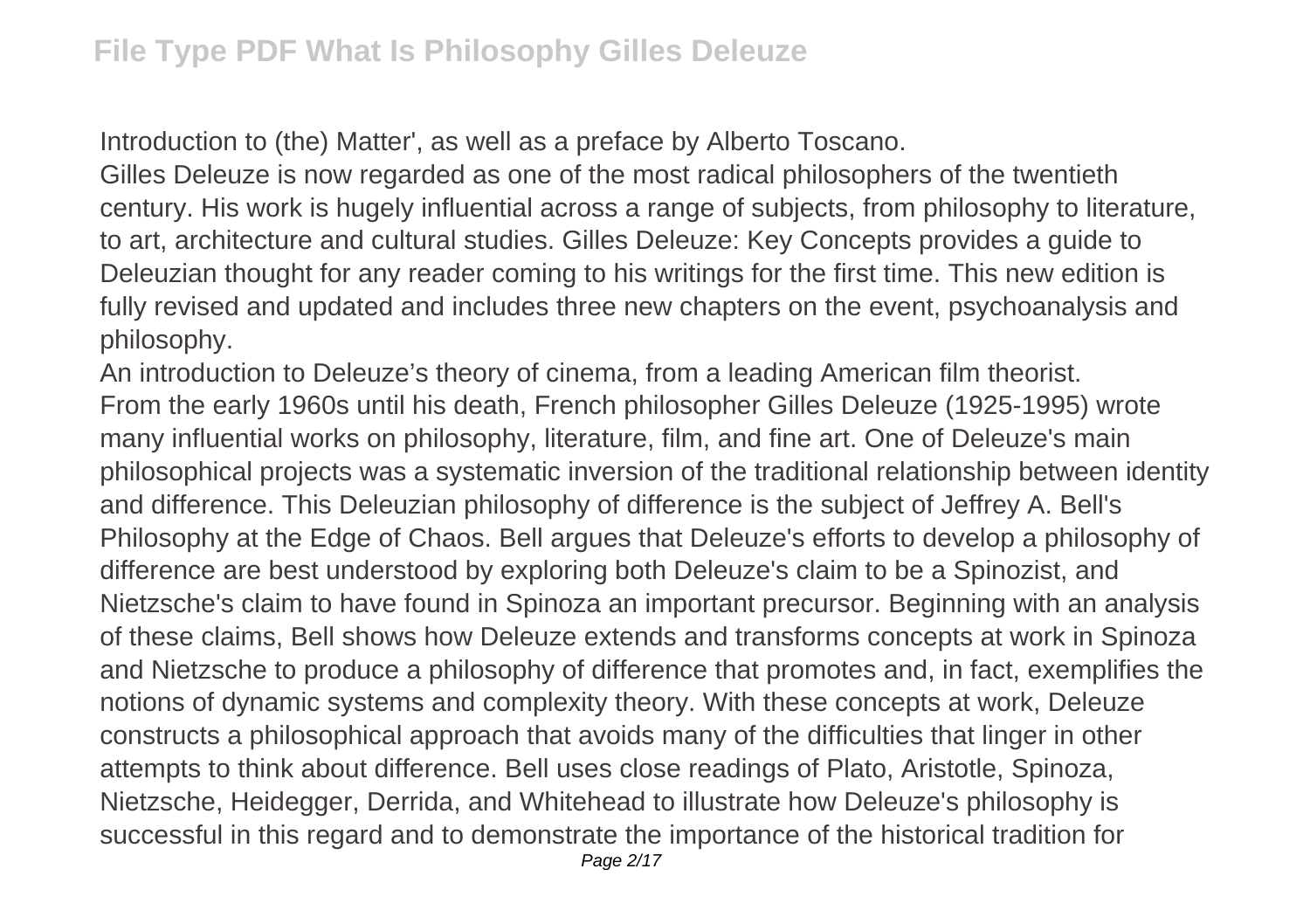Introduction to (the) Matter', as well as a preface by Alberto Toscano.

Gilles Deleuze is now regarded as one of the most radical philosophers of the twentieth century. His work is hugely influential across a range of subjects, from philosophy to literature, to art, architecture and cultural studies. Gilles Deleuze: Key Concepts provides a guide to Deleuzian thought for any reader coming to his writings for the first time. This new edition is fully revised and updated and includes three new chapters on the event, psychoanalysis and philosophy.

An introduction to Deleuze's theory of cinema, from a leading American film theorist. From the early 1960s until his death, French philosopher Gilles Deleuze (1925-1995) wrote many influential works on philosophy, literature, film, and fine art. One of Deleuze's main philosophical projects was a systematic inversion of the traditional relationship between identity and difference. This Deleuzian philosophy of difference is the subject of Jeffrey A. Bell's Philosophy at the Edge of Chaos. Bell argues that Deleuze's efforts to develop a philosophy of difference are best understood by exploring both Deleuze's claim to be a Spinozist, and Nietzsche's claim to have found in Spinoza an important precursor. Beginning with an analysis of these claims, Bell shows how Deleuze extends and transforms concepts at work in Spinoza and Nietzsche to produce a philosophy of difference that promotes and, in fact, exemplifies the notions of dynamic systems and complexity theory. With these concepts at work, Deleuze constructs a philosophical approach that avoids many of the difficulties that linger in other attempts to think about difference. Bell uses close readings of Plato, Aristotle, Spinoza, Nietzsche, Heidegger, Derrida, and Whitehead to illustrate how Deleuze's philosophy is successful in this regard and to demonstrate the importance of the historical tradition for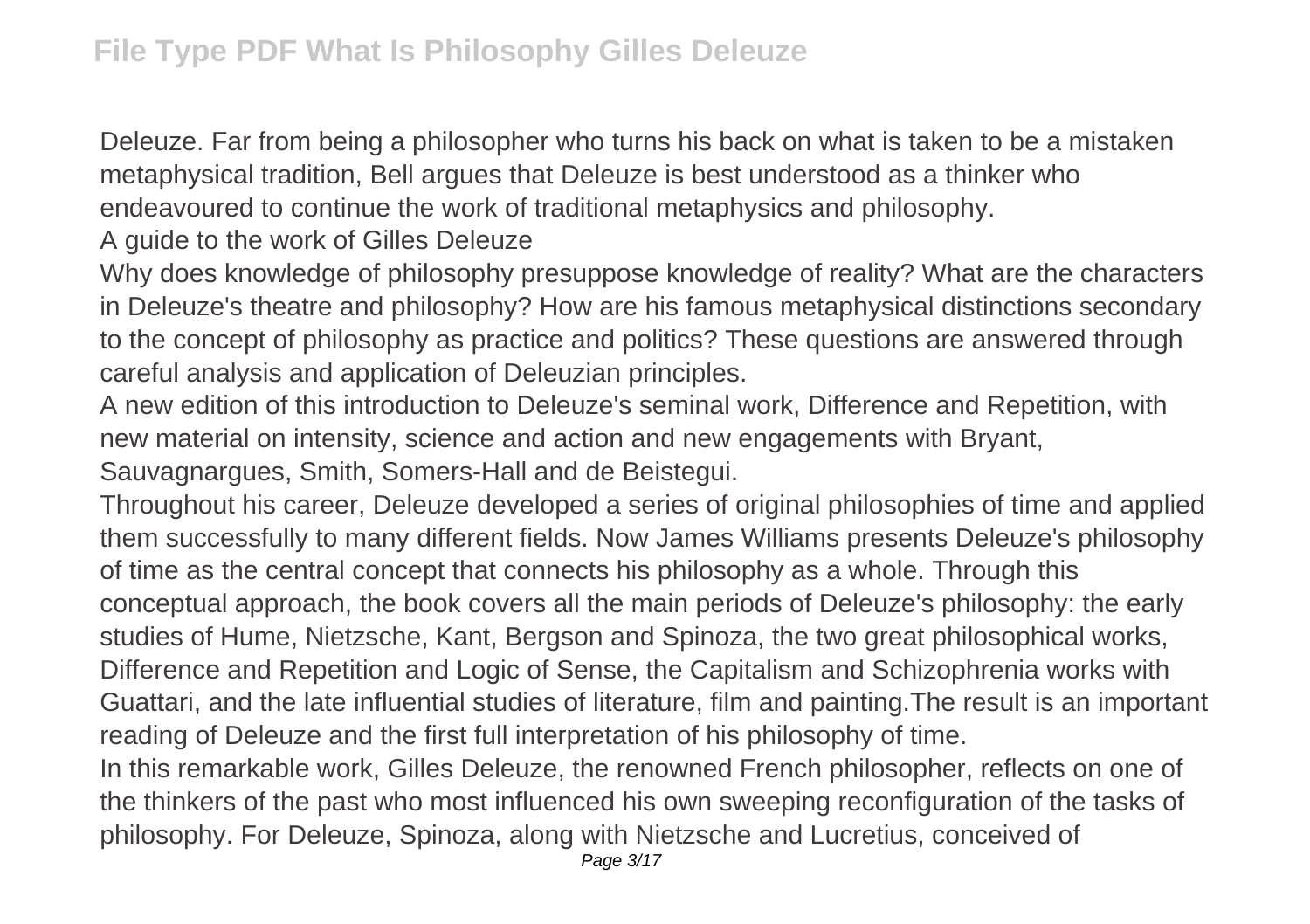Deleuze. Far from being a philosopher who turns his back on what is taken to be a mistaken metaphysical tradition, Bell argues that Deleuze is best understood as a thinker who endeavoured to continue the work of traditional metaphysics and philosophy.

A guide to the work of Gilles Deleuze

Why does knowledge of philosophy presuppose knowledge of reality? What are the characters in Deleuze's theatre and philosophy? How are his famous metaphysical distinctions secondary to the concept of philosophy as practice and politics? These questions are answered through careful analysis and application of Deleuzian principles.

A new edition of this introduction to Deleuze's seminal work, Difference and Repetition, with new material on intensity, science and action and new engagements with Bryant, Sauvagnargues, Smith, Somers-Hall and de Beistegui.

Throughout his career, Deleuze developed a series of original philosophies of time and applied them successfully to many different fields. Now James Williams presents Deleuze's philosophy of time as the central concept that connects his philosophy as a whole. Through this conceptual approach, the book covers all the main periods of Deleuze's philosophy: the early studies of Hume, Nietzsche, Kant, Bergson and Spinoza, the two great philosophical works, Difference and Repetition and Logic of Sense, the Capitalism and Schizophrenia works with Guattari, and the late influential studies of literature, film and painting.The result is an important reading of Deleuze and the first full interpretation of his philosophy of time.

In this remarkable work, Gilles Deleuze, the renowned French philosopher, reflects on one of the thinkers of the past who most influenced his own sweeping reconfiguration of the tasks of philosophy. For Deleuze, Spinoza, along with Nietzsche and Lucretius, conceived of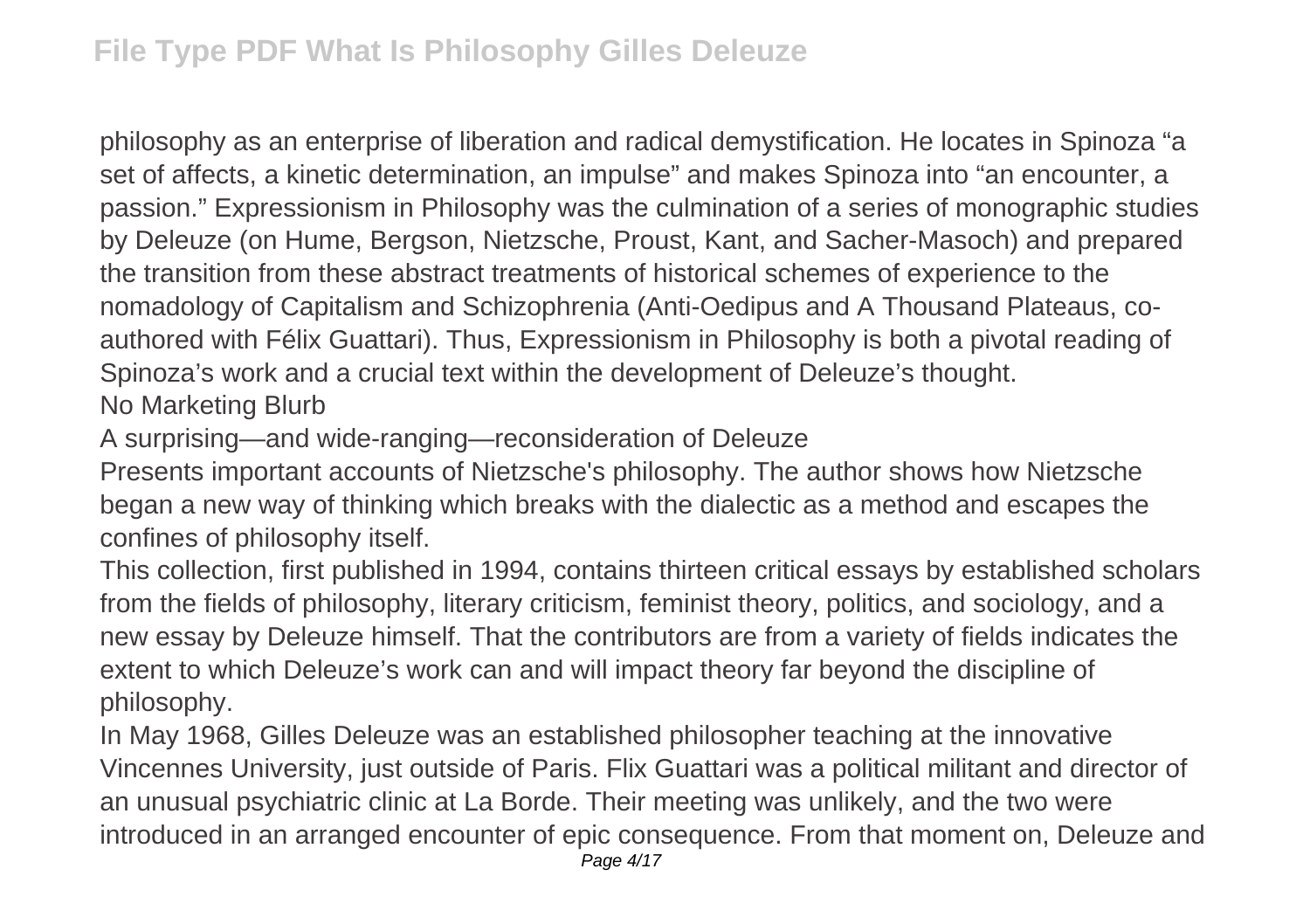philosophy as an enterprise of liberation and radical demystification. He locates in Spinoza "a set of affects, a kinetic determination, an impulse" and makes Spinoza into "an encounter, a passion." Expressionism in Philosophy was the culmination of a series of monographic studies by Deleuze (on Hume, Bergson, Nietzsche, Proust, Kant, and Sacher-Masoch) and prepared the transition from these abstract treatments of historical schemes of experience to the nomadology of Capitalism and Schizophrenia (Anti-Oedipus and A Thousand Plateaus, coauthored with Félix Guattari). Thus, Expressionism in Philosophy is both a pivotal reading of Spinoza's work and a crucial text within the development of Deleuze's thought. No Marketing Blurb

A surprising—and wide-ranging—reconsideration of Deleuze

Presents important accounts of Nietzsche's philosophy. The author shows how Nietzsche began a new way of thinking which breaks with the dialectic as a method and escapes the confines of philosophy itself.

This collection, first published in 1994, contains thirteen critical essays by established scholars from the fields of philosophy, literary criticism, feminist theory, politics, and sociology, and a new essay by Deleuze himself. That the contributors are from a variety of fields indicates the extent to which Deleuze's work can and will impact theory far beyond the discipline of philosophy.

In May 1968, Gilles Deleuze was an established philosopher teaching at the innovative Vincennes University, just outside of Paris. Flix Guattari was a political militant and director of an unusual psychiatric clinic at La Borde. Their meeting was unlikely, and the two were introduced in an arranged encounter of epic consequence. From that moment on, Deleuze and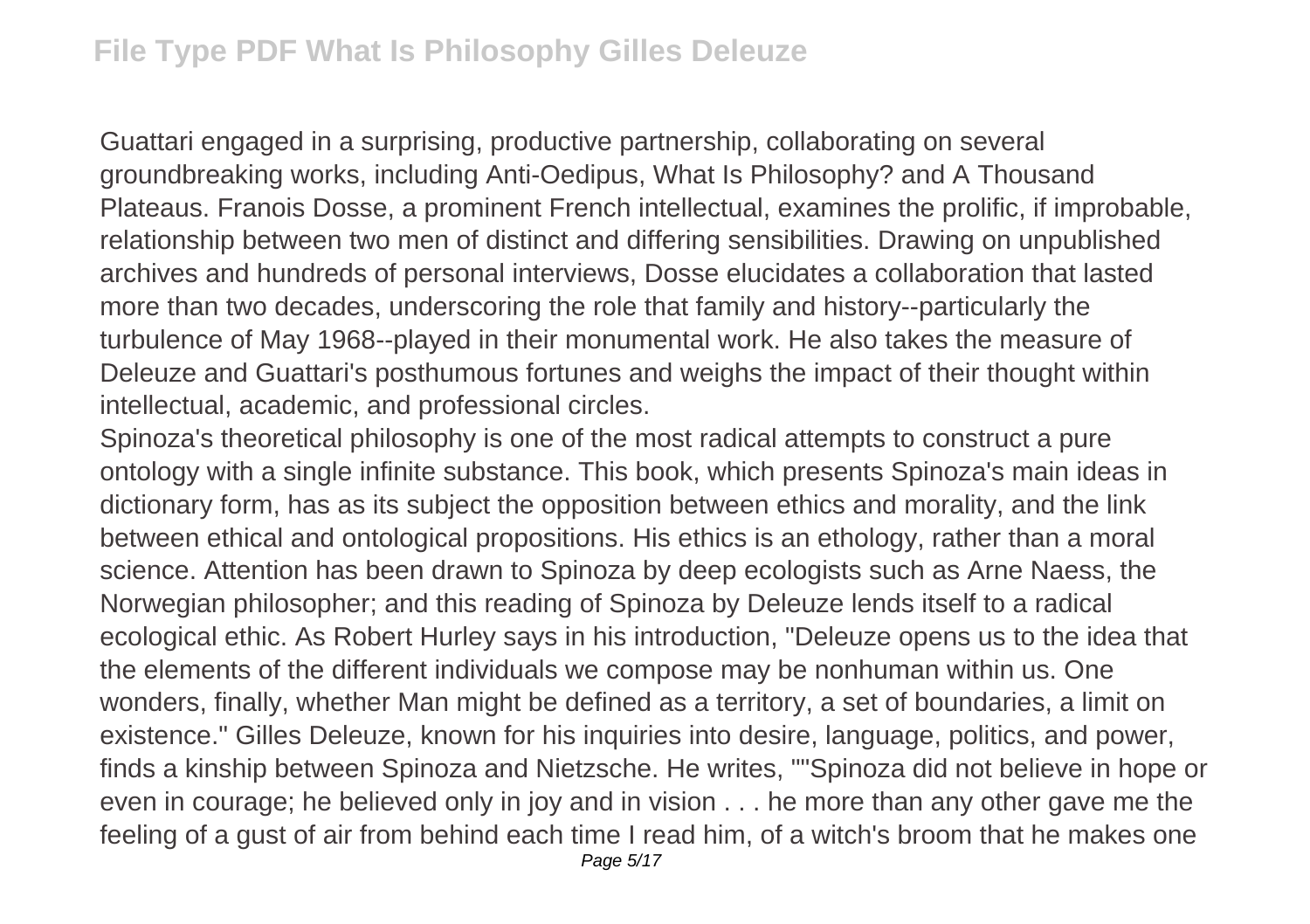Guattari engaged in a surprising, productive partnership, collaborating on several groundbreaking works, including Anti-Oedipus, What Is Philosophy? and A Thousand Plateaus. Franois Dosse, a prominent French intellectual, examines the prolific, if improbable, relationship between two men of distinct and differing sensibilities. Drawing on unpublished archives and hundreds of personal interviews, Dosse elucidates a collaboration that lasted more than two decades, underscoring the role that family and history--particularly the turbulence of May 1968--played in their monumental work. He also takes the measure of Deleuze and Guattari's posthumous fortunes and weighs the impact of their thought within intellectual, academic, and professional circles.

Spinoza's theoretical philosophy is one of the most radical attempts to construct a pure ontology with a single infinite substance. This book, which presents Spinoza's main ideas in dictionary form, has as its subject the opposition between ethics and morality, and the link between ethical and ontological propositions. His ethics is an ethology, rather than a moral science. Attention has been drawn to Spinoza by deep ecologists such as Arne Naess, the Norwegian philosopher; and this reading of Spinoza by Deleuze lends itself to a radical ecological ethic. As Robert Hurley says in his introduction, "Deleuze opens us to the idea that the elements of the different individuals we compose may be nonhuman within us. One wonders, finally, whether Man might be defined as a territory, a set of boundaries, a limit on existence." Gilles Deleuze, known for his inquiries into desire, language, politics, and power, finds a kinship between Spinoza and Nietzsche. He writes, ""Spinoza did not believe in hope or even in courage; he believed only in joy and in vision . . . he more than any other gave me the feeling of a gust of air from behind each time I read him, of a witch's broom that he makes one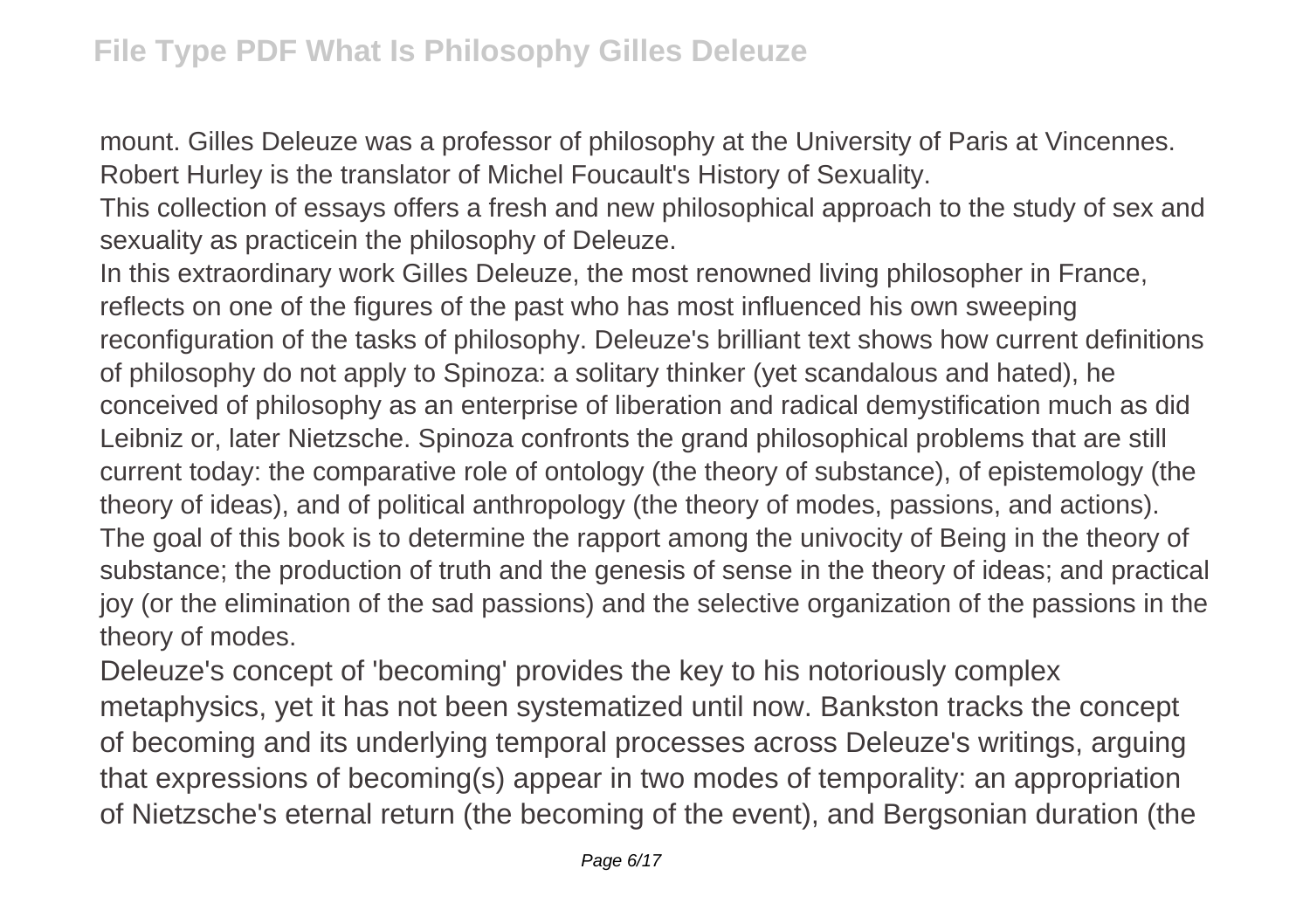mount. Gilles Deleuze was a professor of philosophy at the University of Paris at Vincennes. Robert Hurley is the translator of Michel Foucault's History of Sexuality.

This collection of essays offers a fresh and new philosophical approach to the study of sex and sexuality as practicein the philosophy of Deleuze.

In this extraordinary work Gilles Deleuze, the most renowned living philosopher in France, reflects on one of the figures of the past who has most influenced his own sweeping reconfiguration of the tasks of philosophy. Deleuze's brilliant text shows how current definitions of philosophy do not apply to Spinoza: a solitary thinker (yet scandalous and hated), he conceived of philosophy as an enterprise of liberation and radical demystification much as did Leibniz or, later Nietzsche. Spinoza confronts the grand philosophical problems that are still current today: the comparative role of ontology (the theory of substance), of epistemology (the theory of ideas), and of political anthropology (the theory of modes, passions, and actions). The goal of this book is to determine the rapport among the univocity of Being in the theory of substance; the production of truth and the genesis of sense in the theory of ideas; and practical joy (or the elimination of the sad passions) and the selective organization of the passions in the theory of modes.

Deleuze's concept of 'becoming' provides the key to his notoriously complex metaphysics, yet it has not been systematized until now. Bankston tracks the concept of becoming and its underlying temporal processes across Deleuze's writings, arguing that expressions of becoming(s) appear in two modes of temporality: an appropriation of Nietzsche's eternal return (the becoming of the event), and Bergsonian duration (the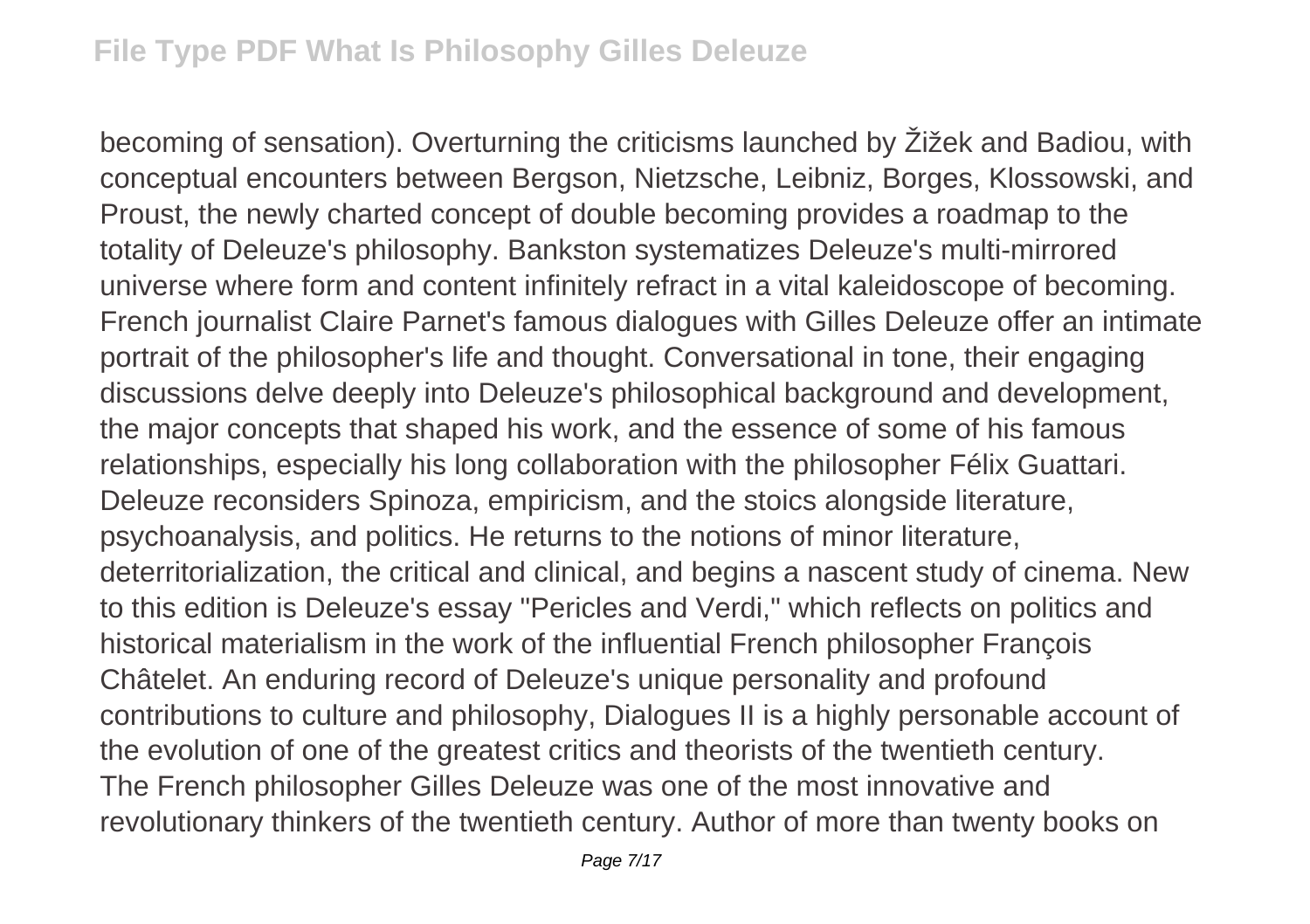becoming of sensation). Overturning the criticisms launched by Žižek and Badiou, with conceptual encounters between Bergson, Nietzsche, Leibniz, Borges, Klossowski, and Proust, the newly charted concept of double becoming provides a roadmap to the totality of Deleuze's philosophy. Bankston systematizes Deleuze's multi-mirrored universe where form and content infinitely refract in a vital kaleidoscope of becoming. French journalist Claire Parnet's famous dialogues with Gilles Deleuze offer an intimate portrait of the philosopher's life and thought. Conversational in tone, their engaging discussions delve deeply into Deleuze's philosophical background and development, the major concepts that shaped his work, and the essence of some of his famous relationships, especially his long collaboration with the philosopher Félix Guattari. Deleuze reconsiders Spinoza, empiricism, and the stoics alongside literature, psychoanalysis, and politics. He returns to the notions of minor literature, deterritorialization, the critical and clinical, and begins a nascent study of cinema. New to this edition is Deleuze's essay "Pericles and Verdi," which reflects on politics and historical materialism in the work of the influential French philosopher François Châtelet. An enduring record of Deleuze's unique personality and profound contributions to culture and philosophy, Dialogues II is a highly personable account of the evolution of one of the greatest critics and theorists of the twentieth century. The French philosopher Gilles Deleuze was one of the most innovative and revolutionary thinkers of the twentieth century. Author of more than twenty books on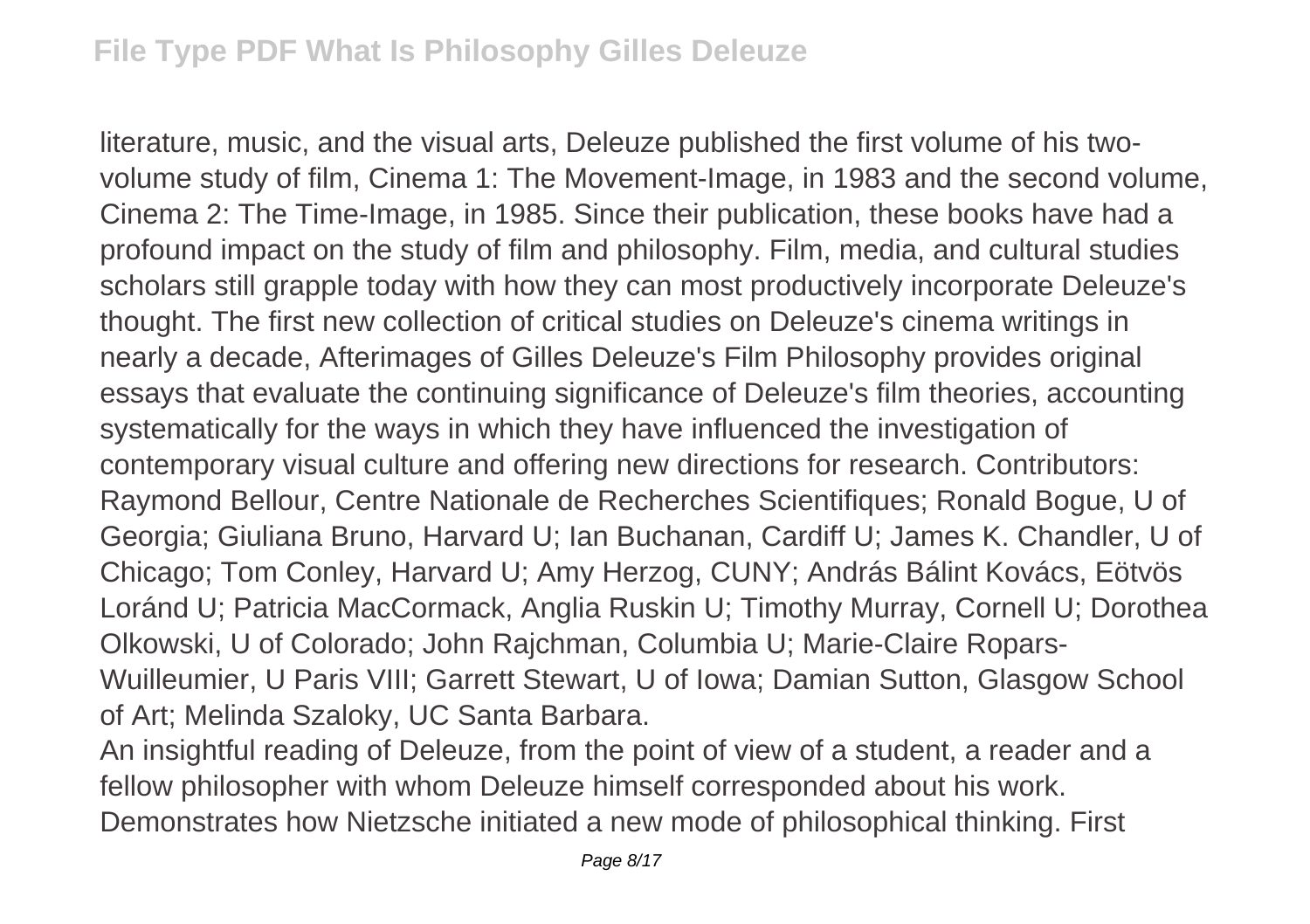literature, music, and the visual arts, Deleuze published the first volume of his twovolume study of film, Cinema 1: The Movement-Image, in 1983 and the second volume, Cinema 2: The Time-Image, in 1985. Since their publication, these books have had a profound impact on the study of film and philosophy. Film, media, and cultural studies scholars still grapple today with how they can most productively incorporate Deleuze's thought. The first new collection of critical studies on Deleuze's cinema writings in nearly a decade, Afterimages of Gilles Deleuze's Film Philosophy provides original essays that evaluate the continuing significance of Deleuze's film theories, accounting systematically for the ways in which they have influenced the investigation of contemporary visual culture and offering new directions for research. Contributors: Raymond Bellour, Centre Nationale de Recherches Scientifiques; Ronald Bogue, U of Georgia; Giuliana Bruno, Harvard U; Ian Buchanan, Cardiff U; James K. Chandler, U of Chicago; Tom Conley, Harvard U; Amy Herzog, CUNY; András Bálint Kovács, Eötvös Loránd U; Patricia MacCormack, Anglia Ruskin U; Timothy Murray, Cornell U; Dorothea Olkowski, U of Colorado; John Rajchman, Columbia U; Marie-Claire Ropars-Wuilleumier, U Paris VIII; Garrett Stewart, U of Iowa; Damian Sutton, Glasgow School of Art; Melinda Szaloky, UC Santa Barbara.

An insightful reading of Deleuze, from the point of view of a student, a reader and a fellow philosopher with whom Deleuze himself corresponded about his work. Demonstrates how Nietzsche initiated a new mode of philosophical thinking. First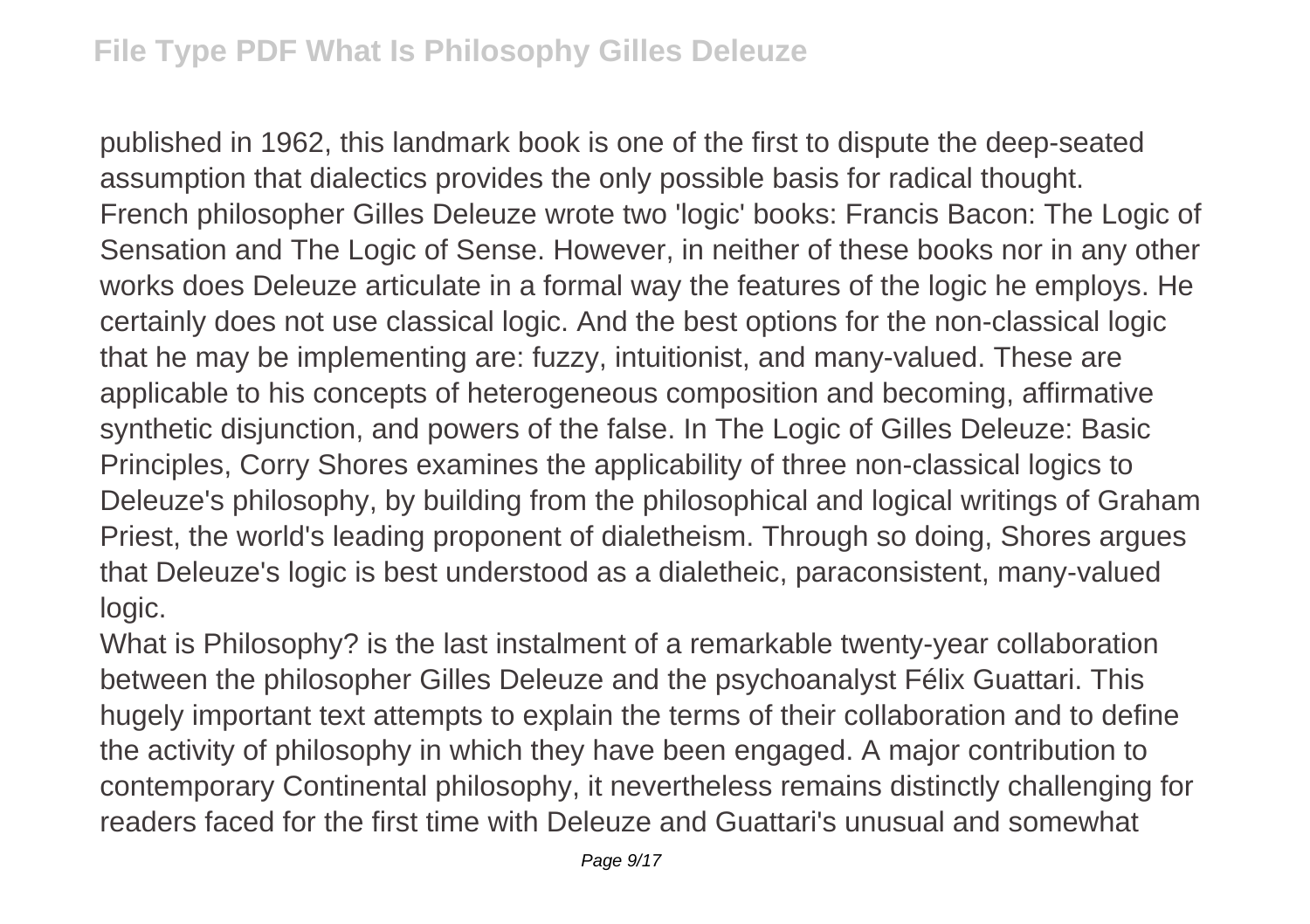published in 1962, this landmark book is one of the first to dispute the deep-seated assumption that dialectics provides the only possible basis for radical thought. French philosopher Gilles Deleuze wrote two 'logic' books: Francis Bacon: The Logic of Sensation and The Logic of Sense. However, in neither of these books nor in any other works does Deleuze articulate in a formal way the features of the logic he employs. He certainly does not use classical logic. And the best options for the non-classical logic that he may be implementing are: fuzzy, intuitionist, and many-valued. These are applicable to his concepts of heterogeneous composition and becoming, affirmative synthetic disjunction, and powers of the false. In The Logic of Gilles Deleuze: Basic Principles, Corry Shores examines the applicability of three non-classical logics to Deleuze's philosophy, by building from the philosophical and logical writings of Graham Priest, the world's leading proponent of dialetheism. Through so doing, Shores argues that Deleuze's logic is best understood as a dialetheic, paraconsistent, many-valued logic.

What is Philosophy? is the last instalment of a remarkable twenty-year collaboration between the philosopher Gilles Deleuze and the psychoanalyst Félix Guattari. This hugely important text attempts to explain the terms of their collaboration and to define the activity of philosophy in which they have been engaged. A major contribution to contemporary Continental philosophy, it nevertheless remains distinctly challenging for readers faced for the first time with Deleuze and Guattari's unusual and somewhat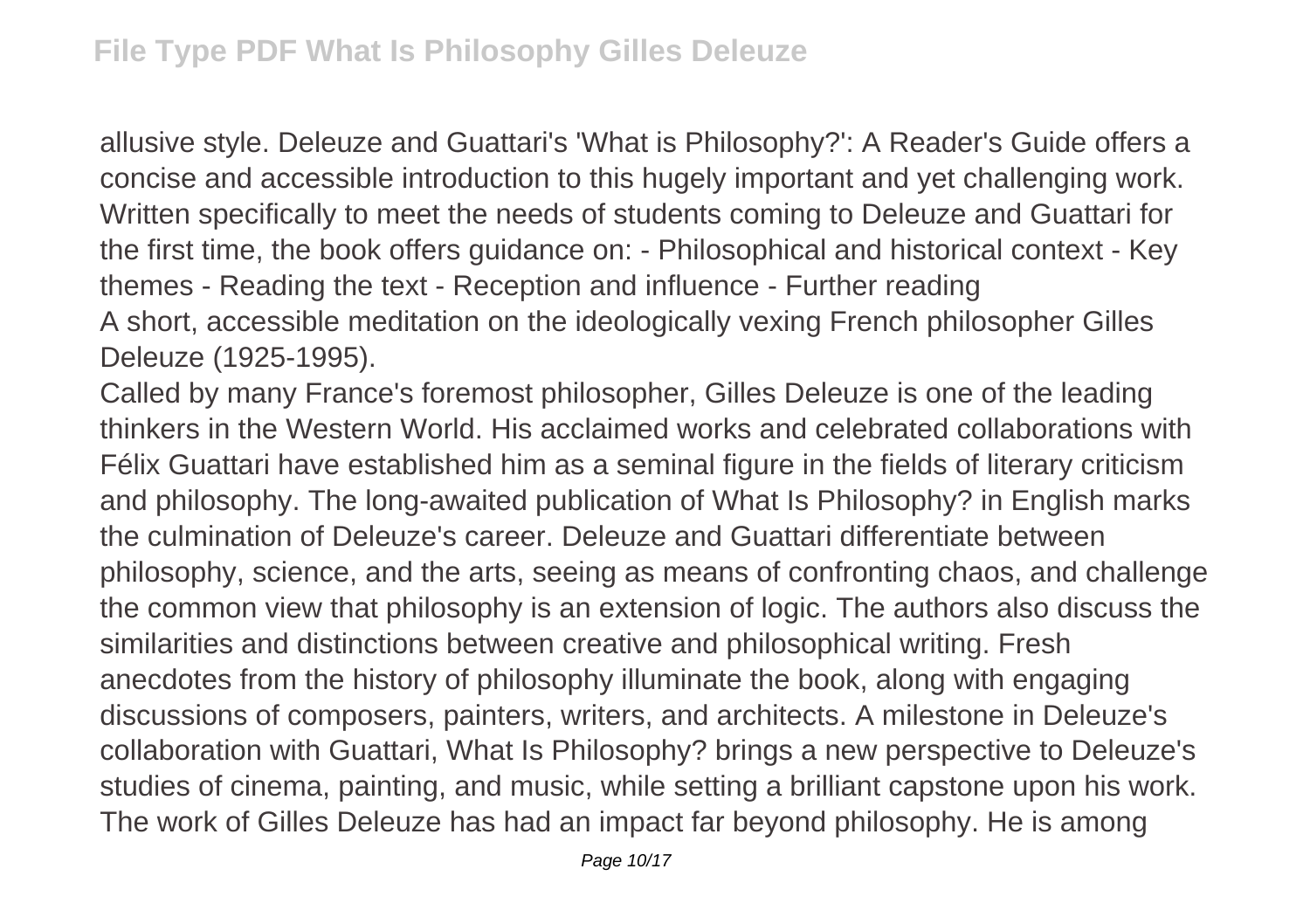allusive style. Deleuze and Guattari's 'What is Philosophy?': A Reader's Guide offers a concise and accessible introduction to this hugely important and yet challenging work. Written specifically to meet the needs of students coming to Deleuze and Guattari for the first time, the book offers guidance on: - Philosophical and historical context - Key themes - Reading the text - Reception and influence - Further reading A short, accessible meditation on the ideologically vexing French philosopher Gilles Deleuze (1925-1995).

Called by many France's foremost philosopher, Gilles Deleuze is one of the leading thinkers in the Western World. His acclaimed works and celebrated collaborations with Félix Guattari have established him as a seminal figure in the fields of literary criticism and philosophy. The long-awaited publication of What Is Philosophy? in English marks the culmination of Deleuze's career. Deleuze and Guattari differentiate between philosophy, science, and the arts, seeing as means of confronting chaos, and challenge the common view that philosophy is an extension of logic. The authors also discuss the similarities and distinctions between creative and philosophical writing. Fresh anecdotes from the history of philosophy illuminate the book, along with engaging discussions of composers, painters, writers, and architects. A milestone in Deleuze's collaboration with Guattari, What Is Philosophy? brings a new perspective to Deleuze's studies of cinema, painting, and music, while setting a brilliant capstone upon his work. The work of Gilles Deleuze has had an impact far beyond philosophy. He is among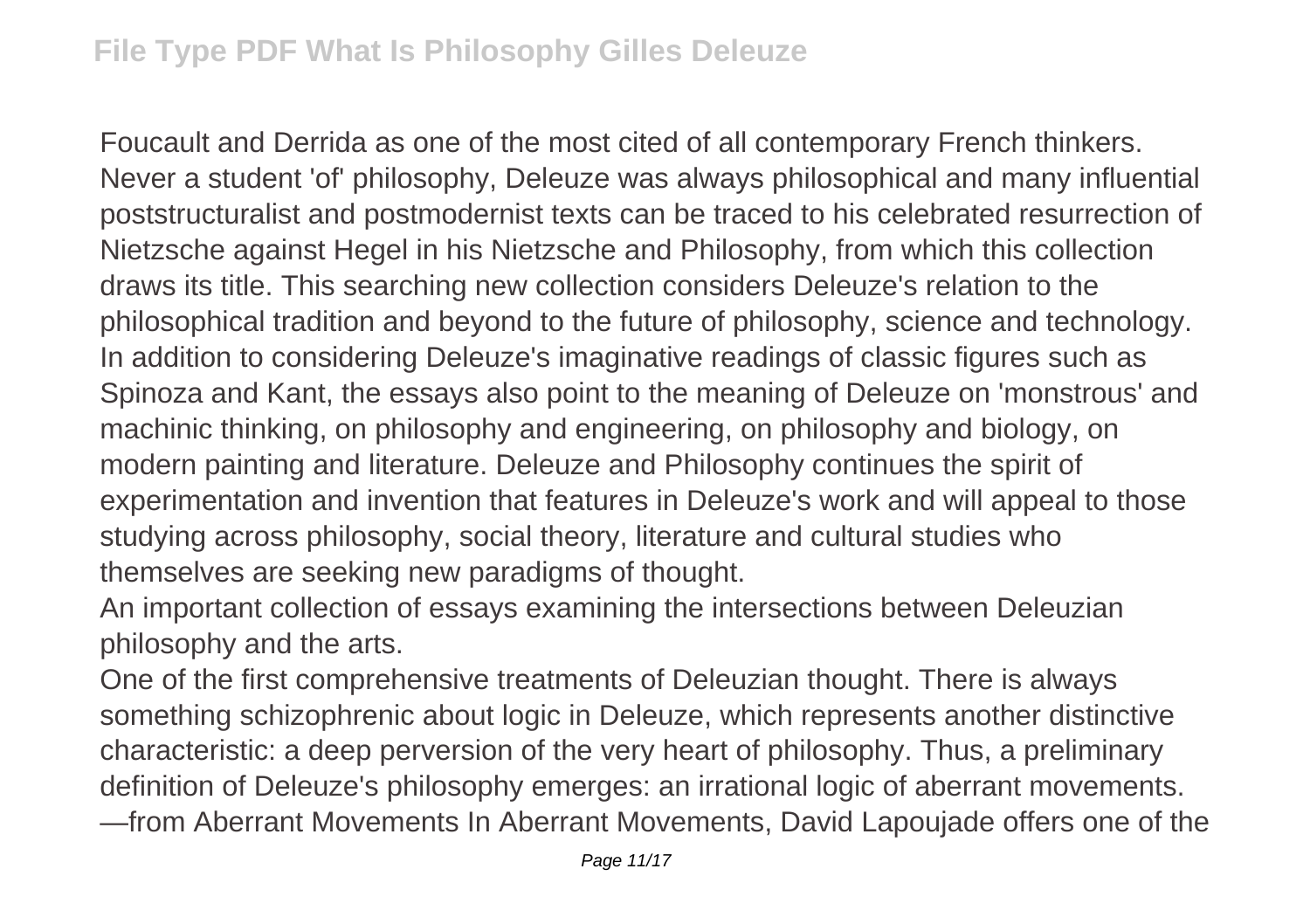Foucault and Derrida as one of the most cited of all contemporary French thinkers. Never a student 'of' philosophy, Deleuze was always philosophical and many influential poststructuralist and postmodernist texts can be traced to his celebrated resurrection of Nietzsche against Hegel in his Nietzsche and Philosophy, from which this collection draws its title. This searching new collection considers Deleuze's relation to the philosophical tradition and beyond to the future of philosophy, science and technology. In addition to considering Deleuze's imaginative readings of classic figures such as Spinoza and Kant, the essays also point to the meaning of Deleuze on 'monstrous' and machinic thinking, on philosophy and engineering, on philosophy and biology, on modern painting and literature. Deleuze and Philosophy continues the spirit of experimentation and invention that features in Deleuze's work and will appeal to those studying across philosophy, social theory, literature and cultural studies who themselves are seeking new paradigms of thought.

An important collection of essays examining the intersections between Deleuzian philosophy and the arts.

One of the first comprehensive treatments of Deleuzian thought. There is always something schizophrenic about logic in Deleuze, which represents another distinctive characteristic: a deep perversion of the very heart of philosophy. Thus, a preliminary definition of Deleuze's philosophy emerges: an irrational logic of aberrant movements. —from Aberrant Movements In Aberrant Movements, David Lapoujade offers one of the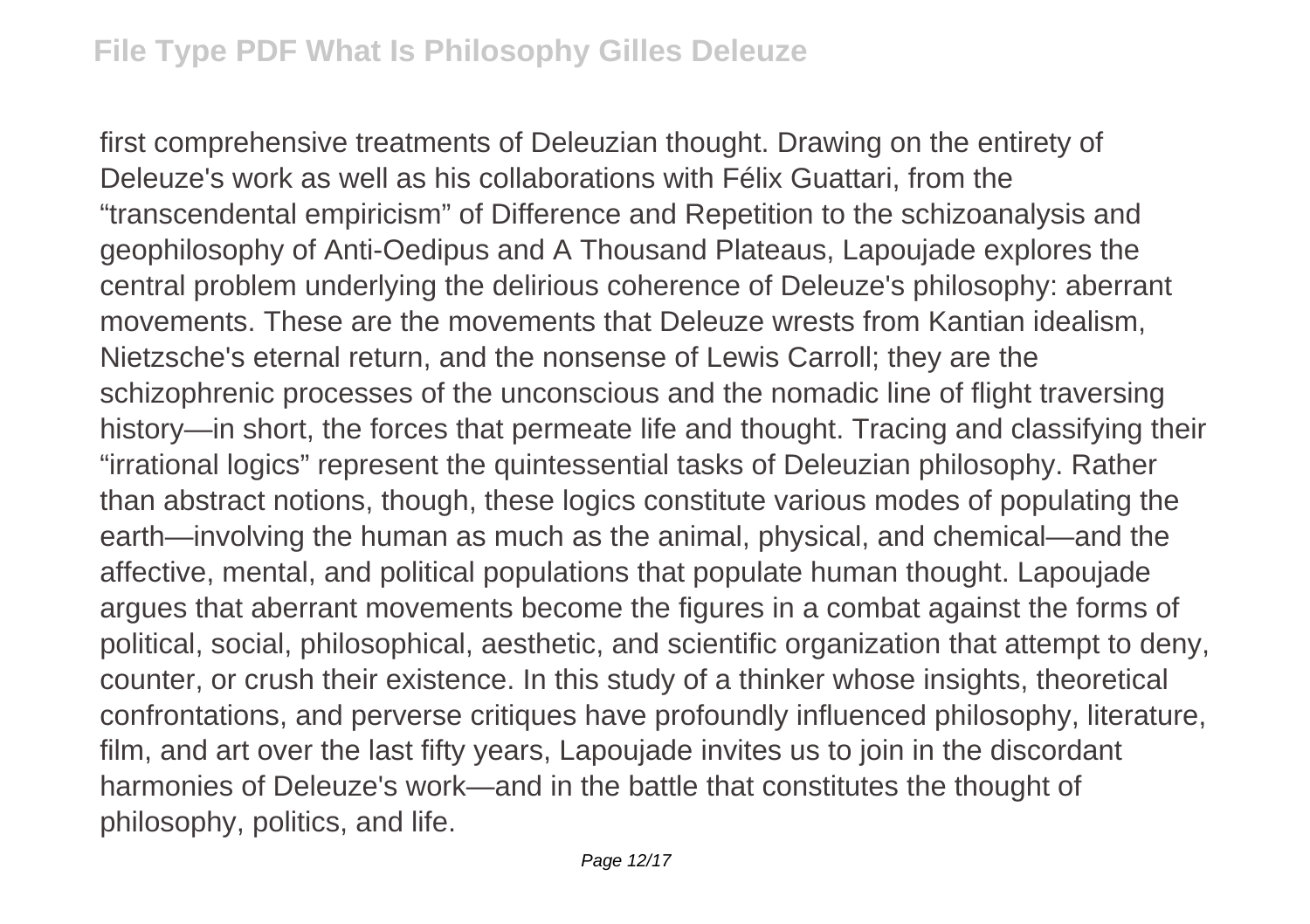first comprehensive treatments of Deleuzian thought. Drawing on the entirety of Deleuze's work as well as his collaborations with Félix Guattari, from the "transcendental empiricism" of Difference and Repetition to the schizoanalysis and geophilosophy of Anti-Oedipus and A Thousand Plateaus, Lapoujade explores the central problem underlying the delirious coherence of Deleuze's philosophy: aberrant movements. These are the movements that Deleuze wrests from Kantian idealism, Nietzsche's eternal return, and the nonsense of Lewis Carroll; they are the schizophrenic processes of the unconscious and the nomadic line of flight traversing history—in short, the forces that permeate life and thought. Tracing and classifying their "irrational logics" represent the quintessential tasks of Deleuzian philosophy. Rather than abstract notions, though, these logics constitute various modes of populating the earth—involving the human as much as the animal, physical, and chemical—and the affective, mental, and political populations that populate human thought. Lapoujade argues that aberrant movements become the figures in a combat against the forms of political, social, philosophical, aesthetic, and scientific organization that attempt to deny, counter, or crush their existence. In this study of a thinker whose insights, theoretical confrontations, and perverse critiques have profoundly influenced philosophy, literature, film, and art over the last fifty years, Lapoujade invites us to join in the discordant harmonies of Deleuze's work—and in the battle that constitutes the thought of philosophy, politics, and life.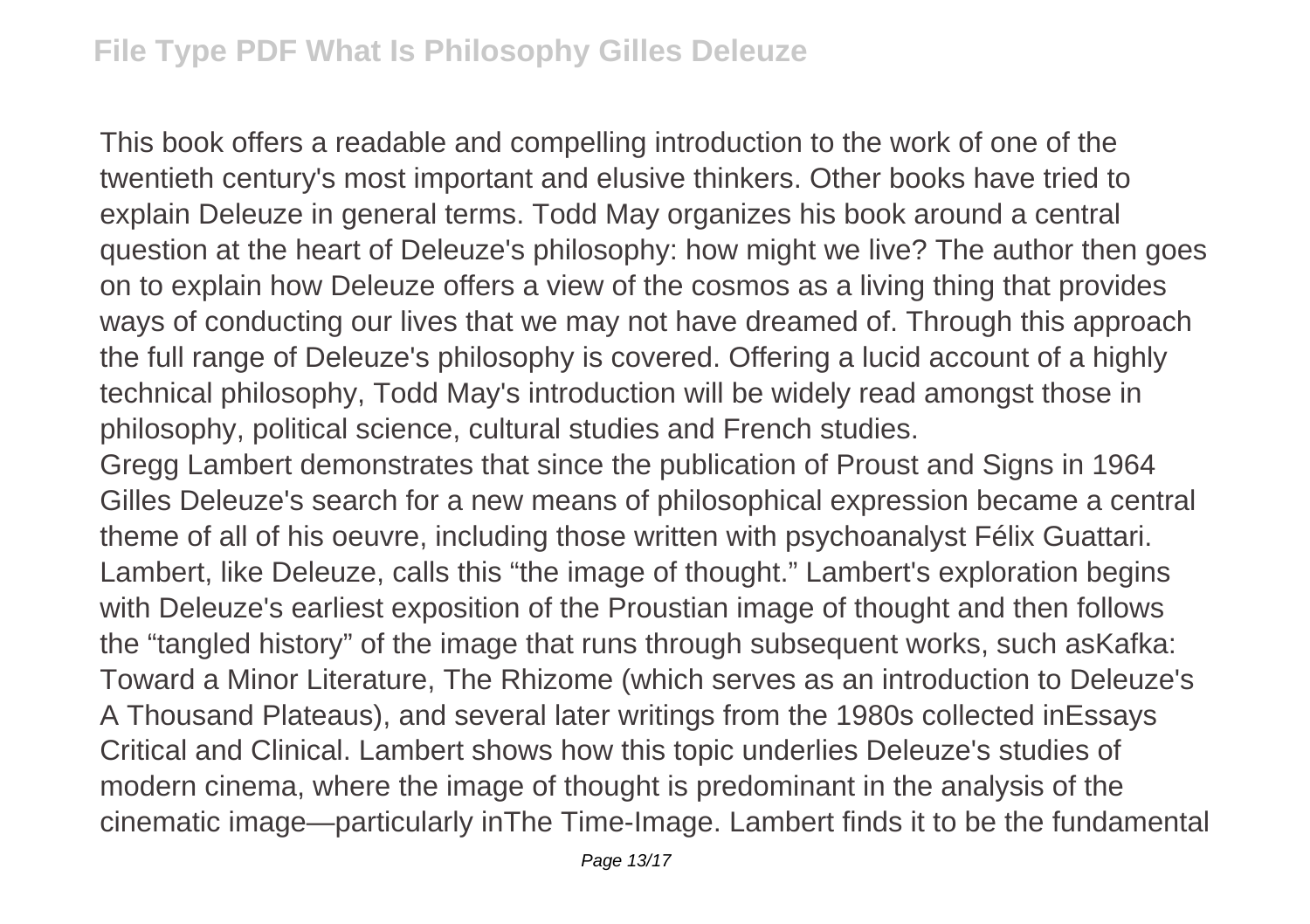This book offers a readable and compelling introduction to the work of one of the twentieth century's most important and elusive thinkers. Other books have tried to explain Deleuze in general terms. Todd May organizes his book around a central question at the heart of Deleuze's philosophy: how might we live? The author then goes on to explain how Deleuze offers a view of the cosmos as a living thing that provides ways of conducting our lives that we may not have dreamed of. Through this approach the full range of Deleuze's philosophy is covered. Offering a lucid account of a highly technical philosophy, Todd May's introduction will be widely read amongst those in philosophy, political science, cultural studies and French studies.

Gregg Lambert demonstrates that since the publication of Proust and Signs in 1964 Gilles Deleuze's search for a new means of philosophical expression became a central theme of all of his oeuvre, including those written with psychoanalyst Félix Guattari. Lambert, like Deleuze, calls this "the image of thought." Lambert's exploration begins with Deleuze's earliest exposition of the Proustian image of thought and then follows the "tangled history" of the image that runs through subsequent works, such asKafka: Toward a Minor Literature, The Rhizome (which serves as an introduction to Deleuze's A Thousand Plateaus), and several later writings from the 1980s collected inEssays Critical and Clinical. Lambert shows how this topic underlies Deleuze's studies of modern cinema, where the image of thought is predominant in the analysis of the cinematic image—particularly inThe Time-Image. Lambert finds it to be the fundamental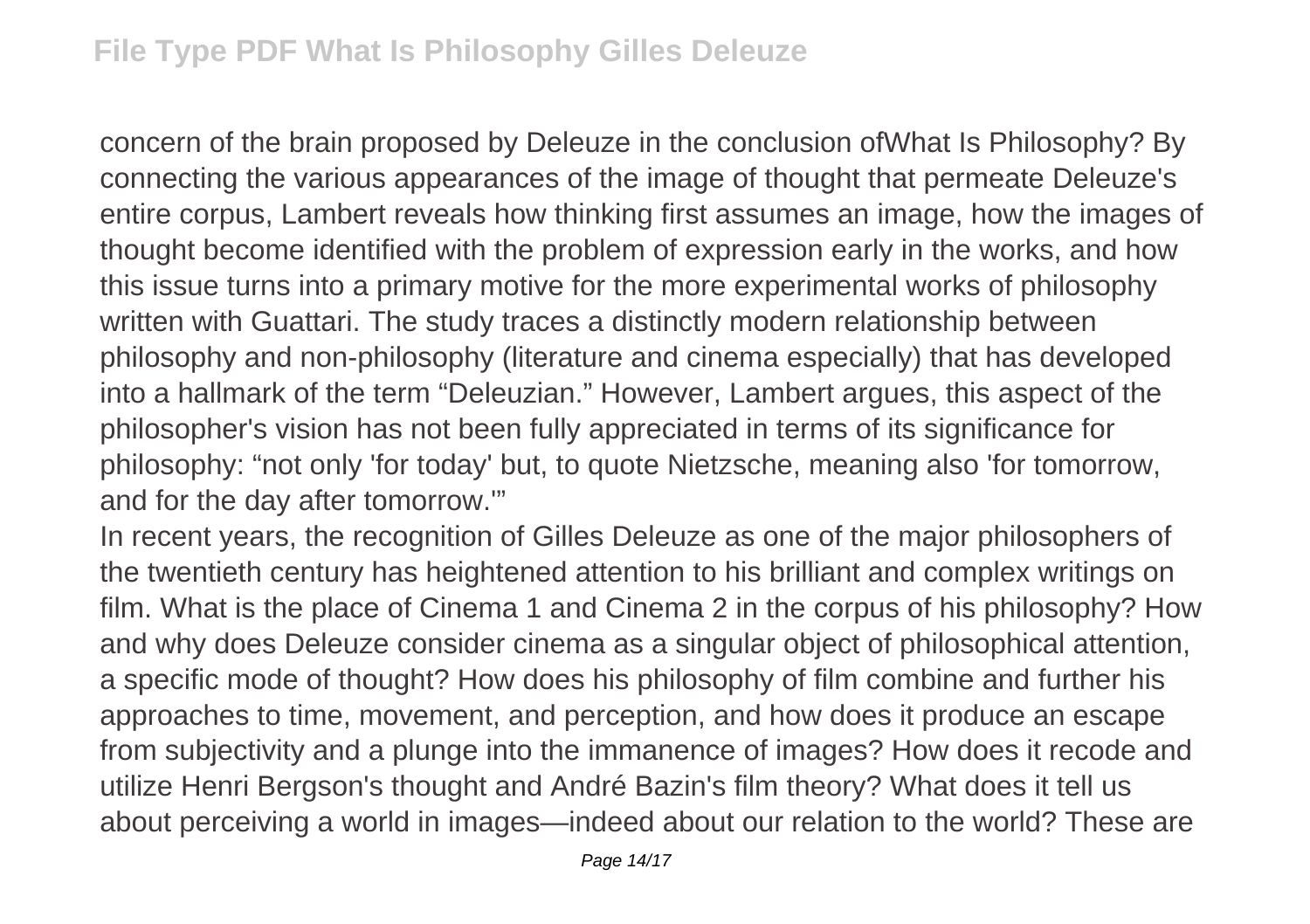concern of the brain proposed by Deleuze in the conclusion ofWhat Is Philosophy? By connecting the various appearances of the image of thought that permeate Deleuze's entire corpus, Lambert reveals how thinking first assumes an image, how the images of thought become identified with the problem of expression early in the works, and how this issue turns into a primary motive for the more experimental works of philosophy written with Guattari. The study traces a distinctly modern relationship between philosophy and non-philosophy (literature and cinema especially) that has developed into a hallmark of the term "Deleuzian." However, Lambert argues, this aspect of the philosopher's vision has not been fully appreciated in terms of its significance for philosophy: "not only 'for today' but, to quote Nietzsche, meaning also 'for tomorrow, and for the day after tomorrow.'"

In recent years, the recognition of Gilles Deleuze as one of the major philosophers of the twentieth century has heightened attention to his brilliant and complex writings on film. What is the place of Cinema 1 and Cinema 2 in the corpus of his philosophy? How and why does Deleuze consider cinema as a singular object of philosophical attention, a specific mode of thought? How does his philosophy of film combine and further his approaches to time, movement, and perception, and how does it produce an escape from subjectivity and a plunge into the immanence of images? How does it recode and utilize Henri Bergson's thought and André Bazin's film theory? What does it tell us about perceiving a world in images—indeed about our relation to the world? These are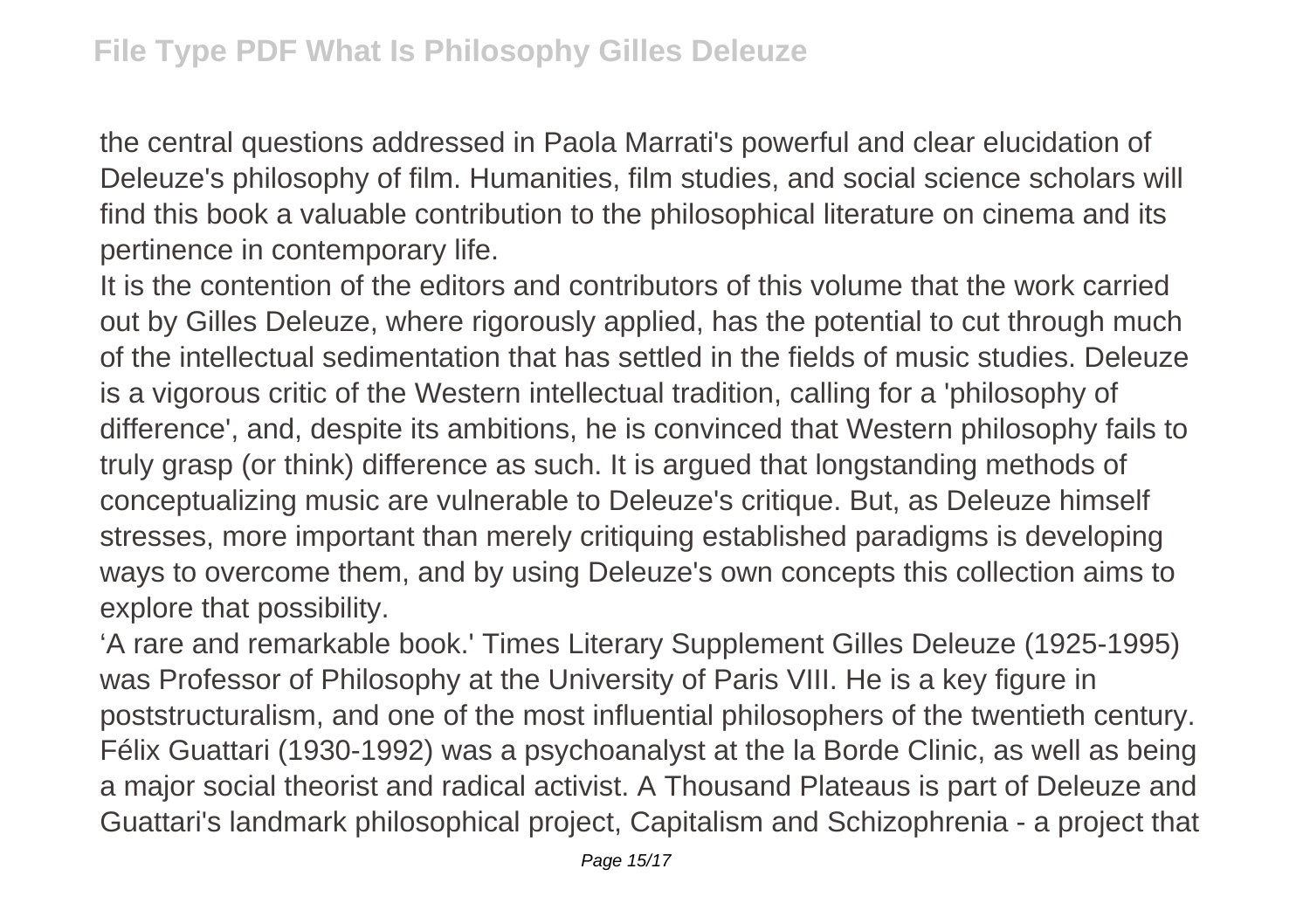the central questions addressed in Paola Marrati's powerful and clear elucidation of Deleuze's philosophy of film. Humanities, film studies, and social science scholars will find this book a valuable contribution to the philosophical literature on cinema and its pertinence in contemporary life.

It is the contention of the editors and contributors of this volume that the work carried out by Gilles Deleuze, where rigorously applied, has the potential to cut through much of the intellectual sedimentation that has settled in the fields of music studies. Deleuze is a vigorous critic of the Western intellectual tradition, calling for a 'philosophy of difference', and, despite its ambitions, he is convinced that Western philosophy fails to truly grasp (or think) difference as such. It is argued that longstanding methods of conceptualizing music are vulnerable to Deleuze's critique. But, as Deleuze himself stresses, more important than merely critiquing established paradigms is developing ways to overcome them, and by using Deleuze's own concepts this collection aims to explore that possibility.

'A rare and remarkable book.' Times Literary Supplement Gilles Deleuze (1925-1995) was Professor of Philosophy at the University of Paris VIII. He is a key figure in poststructuralism, and one of the most influential philosophers of the twentieth century. Félix Guattari (1930-1992) was a psychoanalyst at the la Borde Clinic, as well as being a major social theorist and radical activist. A Thousand Plateaus is part of Deleuze and Guattari's landmark philosophical project, Capitalism and Schizophrenia - a project that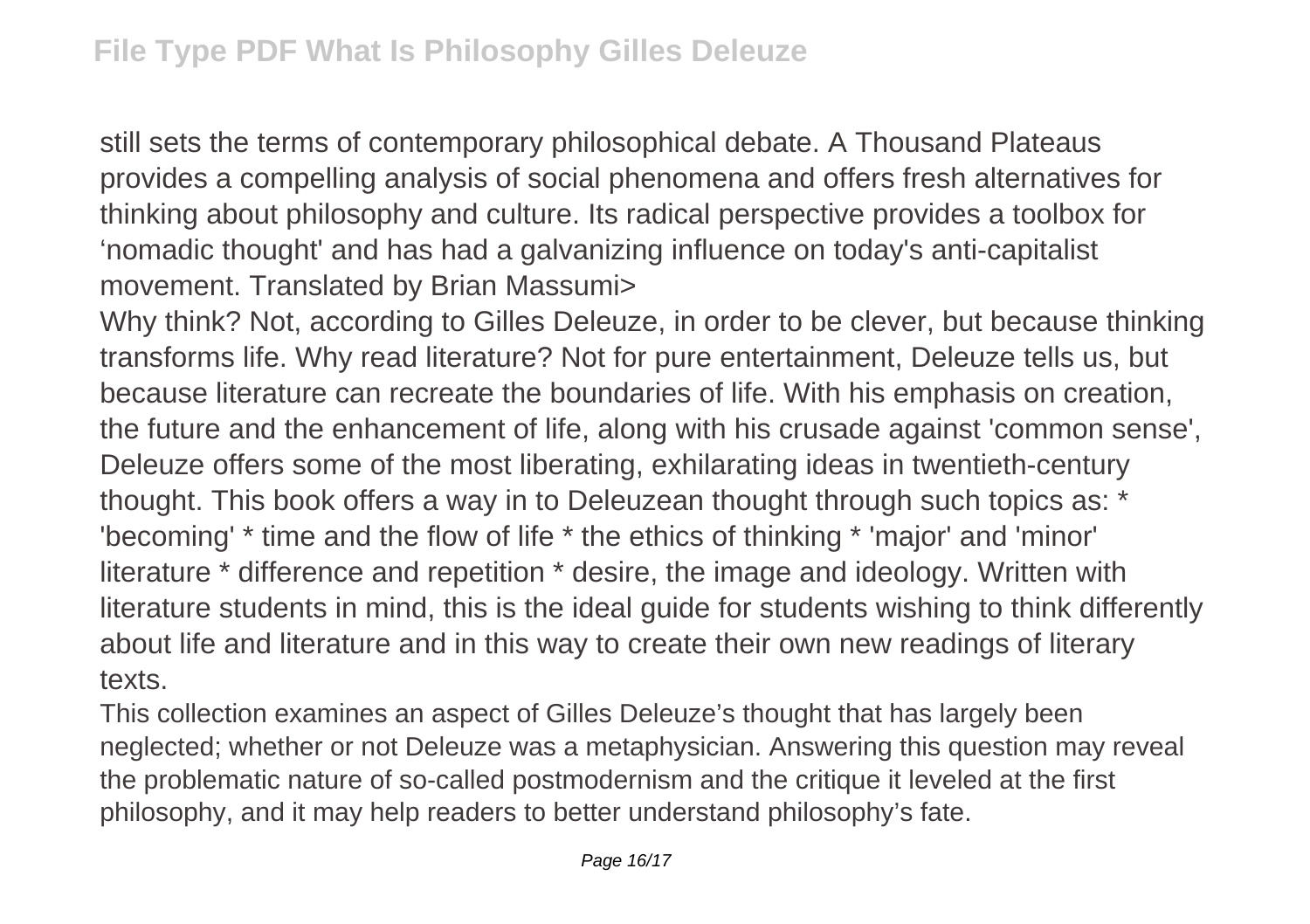still sets the terms of contemporary philosophical debate. A Thousand Plateaus provides a compelling analysis of social phenomena and offers fresh alternatives for thinking about philosophy and culture. Its radical perspective provides a toolbox for 'nomadic thought' and has had a galvanizing influence on today's anti-capitalist movement. Translated by Brian Massumi>

Why think? Not, according to Gilles Deleuze, in order to be clever, but because thinking transforms life. Why read literature? Not for pure entertainment, Deleuze tells us, but because literature can recreate the boundaries of life. With his emphasis on creation, the future and the enhancement of life, along with his crusade against 'common sense', Deleuze offers some of the most liberating, exhilarating ideas in twentieth-century thought. This book offers a way in to Deleuzean thought through such topics as: \* 'becoming' \* time and the flow of life \* the ethics of thinking \* 'major' and 'minor' literature \* difference and repetition \* desire, the image and ideology. Written with literature students in mind, this is the ideal guide for students wishing to think differently about life and literature and in this way to create their own new readings of literary texts.

This collection examines an aspect of Gilles Deleuze's thought that has largely been neglected; whether or not Deleuze was a metaphysician. Answering this question may reveal the problematic nature of so-called postmodernism and the critique it leveled at the first philosophy, and it may help readers to better understand philosophy's fate.